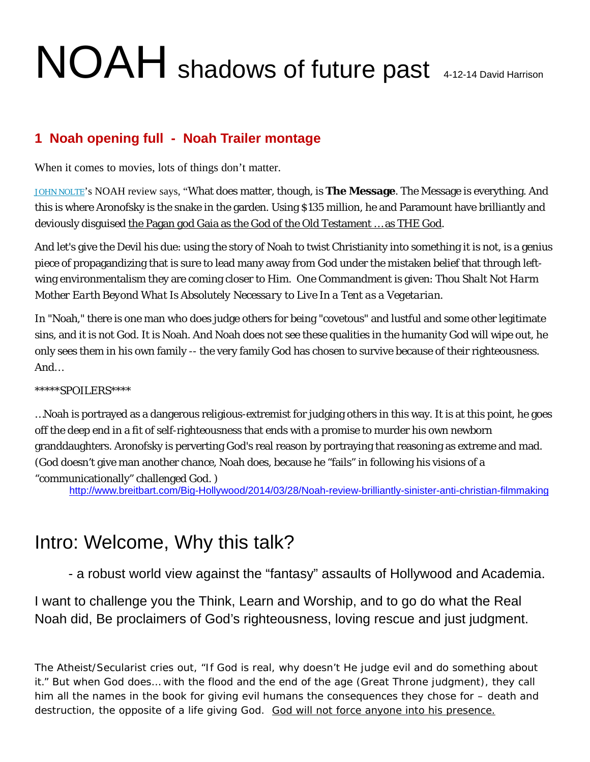# NOAH shadows of future past 4-12-14 David Harrison

## **1 Noah opening full - Noah Trailer montage**

When it comes to movies, lots of things don't matter.

[JOHN NOLTE](http://www.breitbart.com/Columnists/John-Nolte)'s NOAH review says, "What does matter, though, is **The Message**. The Message is everything. And this is where Aronofsky is the snake in the garden. Using \$135 million, he and Paramount have brilliantly and deviously disguised the Pagan god Gaia as the God of the Old Testament … as THE God.

And let's give the Devil his due: using the story of Noah to twist Christianity into something it is not, is a genius piece of propagandizing that is sure to lead many away from God under the mistaken belief that through leftwing environmentalism they are coming closer to Him. One Commandment is given: *Thou Shalt Not Harm Mother Earth Beyond What Is Absolutely Necessary to Live In a Tent as a Vegetarian.*

In "Noah," there is one man who does judge others for being "covetous" and lustful and some other legitimate sins, and it is not God. It is Noah. And Noah does not see these qualities in the humanity God will wipe out, he only sees them in his own family -- the very family God has chosen to survive because of their righteousness. And…

### \*\*\*\*\*SPOILERS\*\*\*\*

…Noah is portrayed as a dangerous religious-extremist for judging others in this way. It is at this point, he goes off the deep end in a fit of self-righteousness that ends with a promise to murder his own newborn granddaughters. Aronofsky is perverting God's real reason by portraying that reasoning as extreme and mad. (God doesn't give man another chance, Noah does, because he "fails" in following his visions of a "communicationally" challenged God. )

<http://www.breitbart.com/Big-Hollywood/2014/03/28/Noah-review-brilliantly-sinister-anti-christian-filmmaking>

## Intro: Welcome, Why this talk?

- a robust world view against the "fantasy" assaults of Hollywood and Academia.

I want to challenge you the Think, Learn and Worship, and to go do what the Real Noah did, Be proclaimers of God's righteousness, loving rescue and just judgment.

The Atheist/Secularist cries out, "If God is real, why doesn't He judge evil and do something about it." But when God does… with the flood and the end of the age (Great Throne judgment), they call him all the names in the book for giving evil humans the consequences they chose for – death and destruction, the opposite of a life giving God. God will not force anyone into his presence.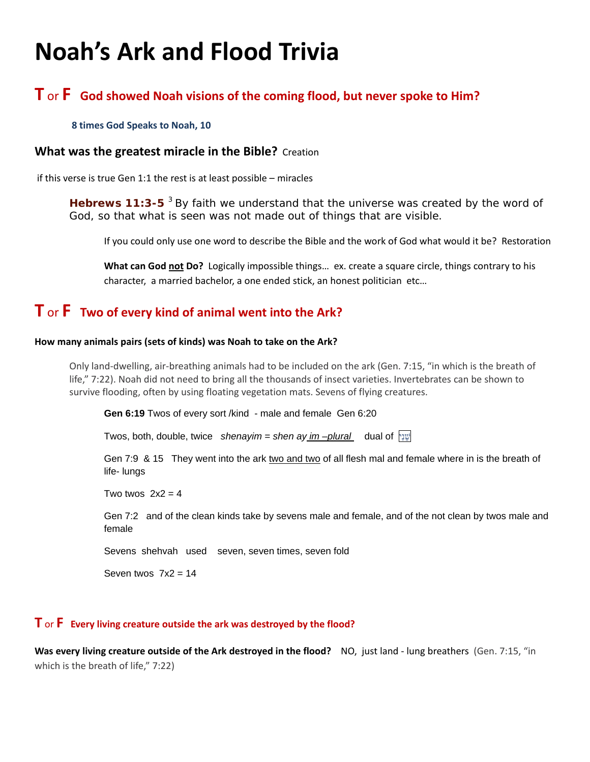## **Noah's Ark and Flood Trivia**

## **T** or **F God showed Noah visions of the coming flood, but never spoke to Him?**

#### **8 times God Speaks to Noah, 10**

### **What was the greatest miracle in the Bible?** Creation

if this verse is true Gen 1:1 the rest is at least possible – miracles

Hebrews 11:3-5<sup>3</sup> By faith we understand that the universe was created by the word of God, so that what is seen was not made out of things that are visible.

If you could only use one word to describe the Bible and the work of God what would it be? Restoration

**What can God not Do?** Logically impossible things… ex. create a square circle, things contrary to his character, a married bachelor, a one ended stick, an honest politician etc…

## **T** or **F Two of every kind of animal went into the Ark?**

#### **How many animals pairs (sets of kinds) was Noah to take on the Ark?**

Only land-dwelling, air-breathing animals had to be included on the ark (Gen. 7:15, "in which is the breath of life," 7:22). Noah did not need to bring all the thousands of insect varieties. Invertebrates can be shown to survive flooding, often by using floating vegetation mats. Sevens of flying creatures.

**Gen 6:19** Twos of every sort /kind - male and female Gen 6:20

Twos, both, double, twice *shenayim = shen ay im –plural* dual of [יִנֵשׁ](http://www.blueletterbible.org/lang/lexicon/lexicon.cfm?strongs=H8145&t=KJV)

Gen 7:9 & 15 They went into the ark two and two of all flesh mal and female where in is the breath of life- lungs

Two twos  $2x^2 = 4$ 

Gen 7:2 and of the clean kinds take by sevens male and female, and of the not clean by twos male and female

Sevens shehvah used seven, seven times, seven fold

Seven twos  $7x2 = 14$ 

### **T** or **F Every living creature outside the ark was destroyed by the flood?**

**Was every living creature outside of the Ark destroyed in the flood?** NO, just land - lung breathers (Gen. 7:15, "in which is the breath of life," 7:22)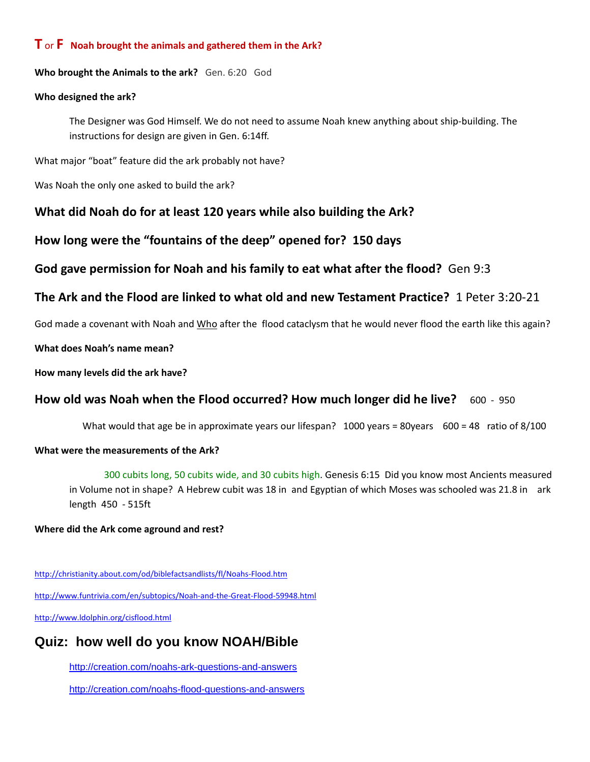### **T** or **F Noah brought the animals and gathered them in the Ark?**

**Who brought the Animals to the ark?** Gen. 6:20 God

#### **Who designed the ark?**

The Designer was God Himself. We do not need to assume Noah knew anything about ship-building. The instructions for design are given in Gen. 6:14ff.

What major "boat" feature did the ark probably not have?

Was Noah the only one asked to build the ark?

## **What did Noah do for at least 120 years while also building the Ark?**

**How long were the "fountains of the deep" opened for? 150 days**

**God gave permission for Noah and his family to eat what after the flood?** Gen 9:3

## **The Ark and the Flood are linked to what old and new Testament Practice?** 1 Peter 3:20-21

God made a covenant with Noah and Who after the flood cataclysm that he would never flood the earth like this again?

**What does Noah's name mean?** 

**How many levels did the ark have?** 

## **How old was Noah when the Flood occurred? How much longer did he live?** 600 - 950

What would that age be in approximate years our lifespan? 1000 years = 80years 600 = 48 ratio of 8/100

### **What were the measurements of the Ark?**

300 cubits long, 50 cubits wide, and 30 cubits high. Genesis 6:15 Did you know most Ancients measured in Volume not in shape? A Hebrew cubit was 18 in and Egyptian of which Moses was schooled was 21.8 in ark length 450 - 515ft

#### **Where did the Ark come aground and rest?**

<http://christianity.about.com/od/biblefactsandlists/fl/Noahs-Flood.htm> <http://www.funtrivia.com/en/subtopics/Noah-and-the-Great-Flood-59948.html>

<http://www.ldolphin.org/cisflood.html>

## **Quiz: how well do you know NOAH/Bible**

<http://creation.com/noahs-ark-questions-and-answers>

<http://creation.com/noahs-flood-questions-and-answers>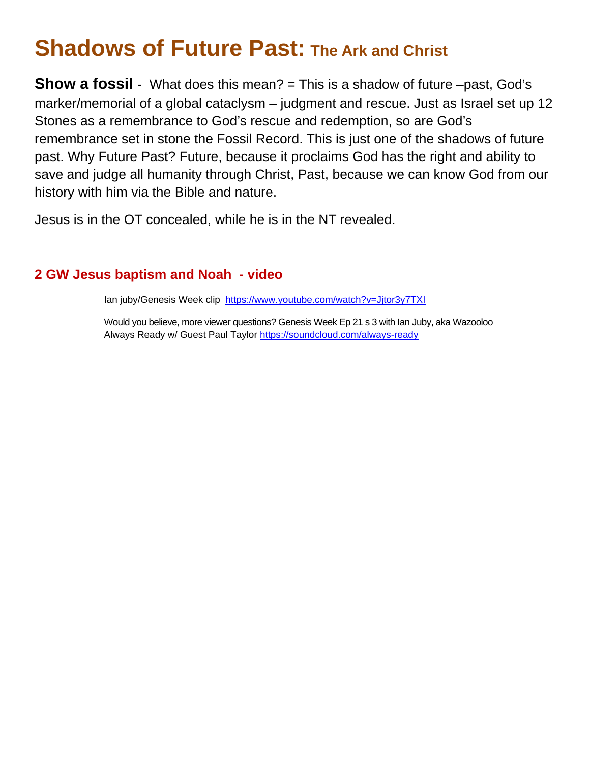## **Shadows of Future Past: The Ark and Christ**

**Show a fossil** - What does this mean? = This is a shadow of future –past, God's marker/memorial of a global cataclysm – judgment and rescue. Just as Israel set up 12 Stones as a remembrance to God's rescue and redemption, so are God's remembrance set in stone the Fossil Record. This is just one of the shadows of future past. Why Future Past? Future, because it proclaims God has the right and ability to save and judge all humanity through Christ, Past, because we can know God from our history with him via the Bible and nature.

Jesus is in the OT concealed, while he is in the NT revealed.

## **2 GW Jesus baptism and Noah - video**

Ian juby/Genesis Week clip <https://www.youtube.com/watch?v=Jjtor3y7TXI>

Would you believe, more viewer questions? Genesis Week Ep 21 s 3 with Ian Juby, aka Wazooloo Always Ready w/ Guest Paul Taylo[r https://soundcloud.com/always-ready](https://soundcloud.com/always-ready)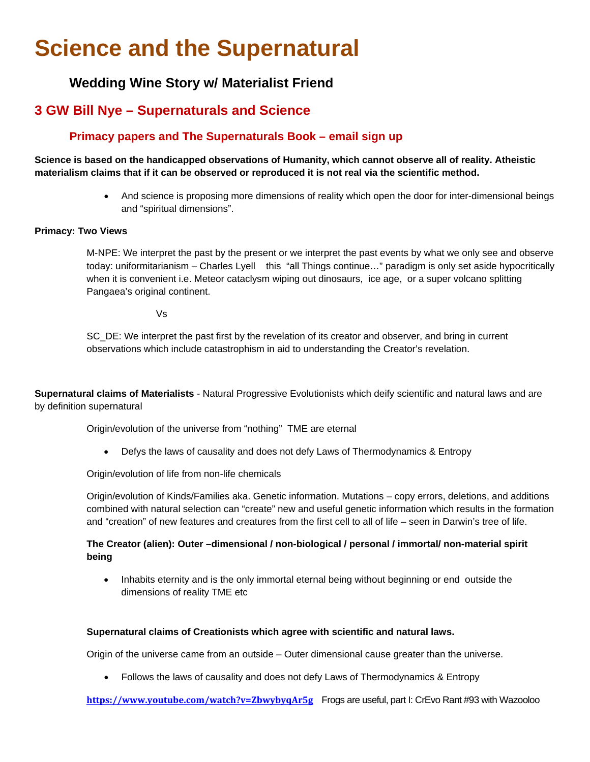## **Science and the Supernatural**

## **Wedding Wine Story w/ Materialist Friend**

## **3 GW Bill Nye – Supernaturals and Science**

## **Primacy papers and The Supernaturals Book – email sign up**

**Science is based on the handicapped observations of Humanity, which cannot observe all of reality. Atheistic materialism claims that if it can be observed or reproduced it is not real via the scientific method.**

> • And science is proposing more dimensions of reality which open the door for inter-dimensional beings and "spiritual dimensions".

#### **Primacy: Two Views**

M-NPE: We interpret the past by the present or we interpret the past events by what we only see and observe today: uniformitarianism – Charles Lyell this "all Things continue…" paradigm is only set aside hypocritically when it is convenient i.e. Meteor cataclysm wiping out dinosaurs, ice age, or a super volcano splitting Pangaea's original continent.

Vs

SC\_DE: We interpret the past first by the revelation of its creator and observer, and bring in current observations which include catastrophism in aid to understanding the Creator's revelation.

**Supernatural claims of Materialists** - Natural Progressive Evolutionists which deify scientific and natural laws and are by definition supernatural

Origin/evolution of the universe from "nothing" TME are eternal

• Defys the laws of causality and does not defy Laws of Thermodynamics & Entropy

Origin/evolution of life from non-life chemicals

Origin/evolution of Kinds/Families aka. Genetic information. Mutations – copy errors, deletions, and additions combined with natural selection can "create" new and useful genetic information which results in the formation and "creation" of new features and creatures from the first cell to all of life – seen in Darwin's tree of life.

#### **The Creator (alien): Outer –dimensional / non-biological / personal / immortal/ non-material spirit being**

• Inhabits eternity and is the only immortal eternal being without beginning or end outside the dimensions of reality TME etc

#### **Supernatural claims of Creationists which agree with scientific and natural laws.**

Origin of the universe came from an outside – Outer dimensional cause greater than the universe.

• Follows the laws of causality and does not defy Laws of Thermodynamics & Entropy

**<https://www.youtube.com/watch?v=ZbwybyqAr5g>**Frogs are useful, part I: CrEvo Rant #93 with Wazooloo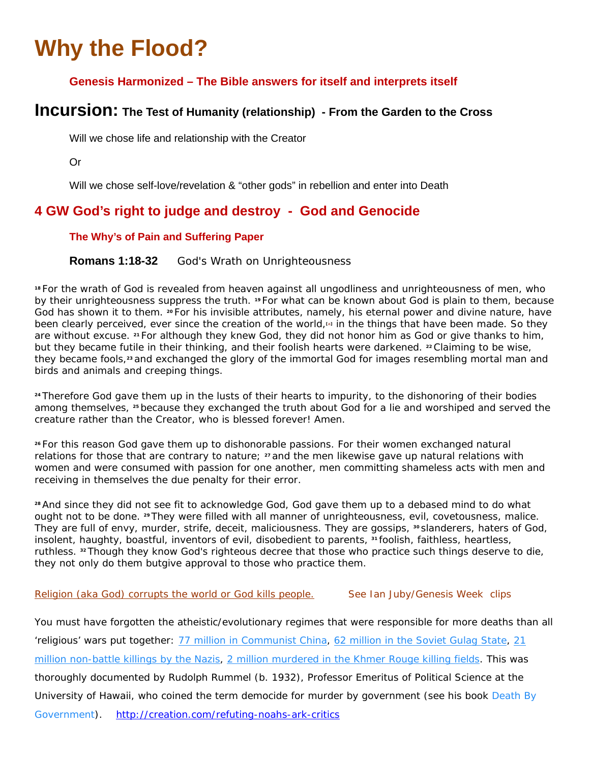## **Why the Flood?**

## **Genesis Harmonized – The Bible answers for itself and interprets itself**

## **Incursion: The Test of Humanity (relationship) - From the Garden to the Cross**

Will we chose life and relationship with the Creator

Or

Will we chose self-love/revelation & "other gods" in rebellion and enter into Death

## **4 GW God's right to judge and destroy - God and Genocide**

### **The Why's of Pain and Suffering Paper**

**Romans 1:18-32** God's Wrath on Unrighteousness

**<sup>18</sup>** For the wrath of God is revealed from heaven against all ungodliness and unrighteousness of men, who by their unrighteousness suppress the truth. **<sup>19</sup>** For what can be known about God is plain to them, because God has shown it to them. **<sup>20</sup>** For his invisible attributes, namely, his eternal power and divine nature, have been clearly perceived, ever since the creation of the world,**[\[a\]](http://www.biblegateway.com/passage/?search=Romans+1%3A18-32&version=ESV#fen-ESV-27935a)** in the things that have been made. So they are without excuse. **<sup>21</sup>** For although they knew God, they did not honor him as God or give thanks to him, but they became futile in their thinking, and their foolish hearts were darkened. **<sup>22</sup>** Claiming to be wise, they became fools,**<sup>23</sup>** and exchanged the glory of the immortal God for images resembling mortal man and birds and animals and creeping things.

**<sup>24</sup>** Therefore God gave them up in the lusts of their hearts to impurity, to the dishonoring of their bodies among themselves, **<sup>25</sup>** because they exchanged the truth about God for a lie and worshiped and served the creature rather than the Creator, who is blessed forever! Amen.

**<sup>26</sup>** For this reason God gave them up to dishonorable passions. For their women exchanged natural relations for those that are contrary to nature; **<sup>27</sup>** and the men likewise gave up natural relations with women and were consumed with passion for one another, men committing shameless acts with men and receiving in themselves the due penalty for their error.

**<sup>28</sup>** And since they did not see fit to acknowledge God, God gave them up to a debased mind to do what ought not to be done. **<sup>29</sup>** They were filled with all manner of unrighteousness, evil, covetousness, malice. They are full of envy, murder, strife, deceit, maliciousness. They are gossips, **<sup>30</sup>** slanderers, haters of God, insolent, haughty, boastful, inventors of evil, disobedient to parents, <sup>31</sup> foolish, faithless, heartless, ruthless. **<sup>32</sup>** Though they know God's righteous decree that those who practice such things deserve to die, they not only do them butgive approval to those who practice them.

### Religion (aka God) corrupts the world or God kills people. See Ian Juby/Genesis Week clips

You must have forgotten the atheistic/evolutionary regimes that were responsible for more deaths than all 'religious' wars put together: 77 million in [Communist](http://creation.com/redirect.php?http://www.pekingduck.org/2005/11/randy-rummel-mao-murdered-77-million-chinese/) China, 62 [million](http://creation.com/redirect.php?http://www.hawaii.edu/powerkills/NOTE1.HTM) in the Soviet Gulag State, [21](http://creation.com/redirect.php?http://www.digitalsurvivors.com/archives/democidenazi.php) million [non-battle](http://creation.com/redirect.php?http://www.digitalsurvivors.com/archives/democidenazi.php) killings by the Nazis, 2 million [murdered](http://creation.com/redirect.php?http://www.hawaii.edu/powerkills/NOTE1.HTM) in the Khmer Rouge killing fields. This was thoroughly documented by Rudolph Rummel (b. 1932), Professor Emeritus of Political Science at the University of Hawaii, who coined the term democide for murder by government (see his book *[Death](http://creation.com/redirect.php?http://www.hawaii.edu/powerkills/NOTE1.HTM) By [Government](http://creation.com/redirect.php?http://www.hawaii.edu/powerkills/NOTE1.HTM)*). <http://creation.com/refuting-noahs-ark-critics>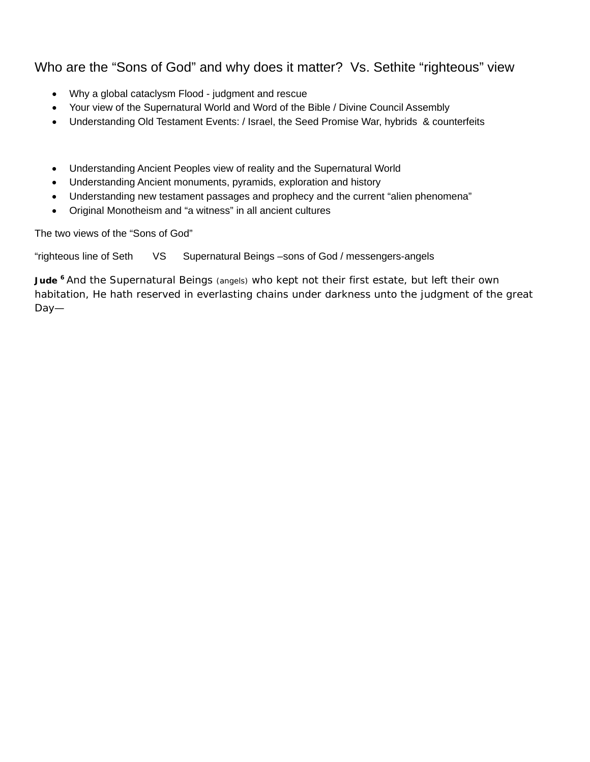## Who are the "Sons of God" and why does it matter? Vs. Sethite "righteous" view

- Why a global cataclysm Flood judgment and rescue
- Your view of the Supernatural World and Word of the Bible / Divine Council Assembly
- Understanding Old Testament Events: / Israel, the Seed Promise War, hybrids & counterfeits
- Understanding Ancient Peoples view of reality and the Supernatural World
- Understanding Ancient monuments, pyramids, exploration and history
- Understanding new testament passages and prophecy and the current "alien phenomena"
- Original Monotheism and "a witness" in all ancient cultures

The two views of the "Sons of God"

"righteous line of Seth VS Supernatural Beings –sons of God / messengers-angels

Jude <sup>6</sup> And the Supernatural Beings (angels) who kept not their first estate, but left their own habitation, He hath reserved in everlasting chains under darkness unto the judgment of the great Day—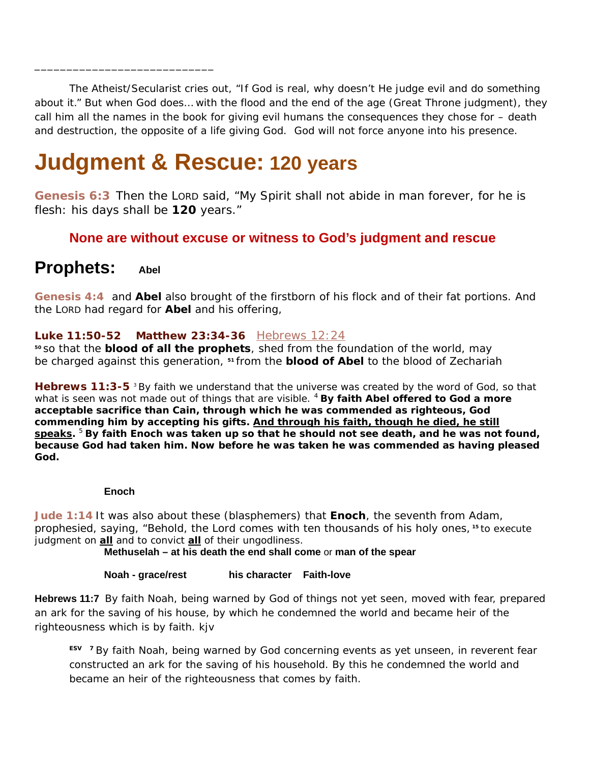The Atheist/Secularist cries out, "If God is real, why doesn't He judge evil and do something about it." But when God does… with the flood and the end of the age (Great Throne judgment), they call him all the names in the book for giving evil humans the consequences they chose for – death and destruction, the opposite of a life giving God. God will not force anyone into his presence.

## **Judgment & Rescue: 120 years**

**[Genesis 6:3](http://www.biblegateway.com/passage/?search=Genesis+6:3&version=ESV)** Then the LORD said, "My Spirit shall not abide in man forever, for he is flesh: his days shall be **120** years."

## **None are without excuse or witness to God's judgment and rescue**

## **Prophets: Abel**

\_\_\_\_\_\_\_\_\_\_\_\_\_\_\_\_\_\_\_\_\_\_\_\_\_\_\_\_

**[Genesis 4:4](http://www.biblegateway.com/passage/?search=Genesis+4:4&version=ESV)** and **Abel** also brought of the firstborn of his flock and of their fat portions. And the LORD had regard for **Abel** and his offering,

### **Luke 11:50-52 Matthew 23:34-36** [Hebrews 12:24](http://www.biblegateway.com/passage/?search=Hebrews+12:24&version=ESV)

**<sup>50</sup>** so that the **blood of all the prophets**, shed from the foundation of the world, may be charged against this generation, **<sup>51</sup>** from the **blood of Abel** to the blood of Zechariah

**Hebrews 11:3-5** <sup>3</sup> By faith we understand that the universe was created by the word of God, so that what is seen was not made out of things that are visible. <sup>4</sup> **By faith Abel offered to God a more acceptable sacrifice than Cain, through which he was commended as righteous, God commending him by accepting his gifts. And through his faith, though he died, he still speaks.** <sup>5</sup> **By faith Enoch was taken up so that he should not see death, and he was not found, because God had taken him. Now before he was taken he was commended as having pleased God.**

#### **Enoch**

**[Jude 1:14](http://www.biblegateway.com/passage/?search=Jude+1:14&version=ESV)** It was also about these (blasphemers) that **Enoch**, the seventh from Adam, prophesied, saying, "Behold, the Lord comes with ten thousands of his holy ones, **<sup>15</sup>** to execute judgment on **all** and to convict **all** of their ungodliness.

**Methuselah – at his death the end shall come** or **man of the spear**

### **Noah - grace/rest** his character Faith-love

**Hebrews 11:7** By faith Noah, being warned by God of things not yet seen, moved with fear, prepared an ark for the saving of his house, by which he condemned the world and became heir of the righteousness which is by faith. kjv

**ESV 7** By faith Noah, being warned by God concerning events as yet unseen, in reverent fear constructed an ark for the saving of his household. By this he condemned the world and became an heir of the righteousness that comes by faith.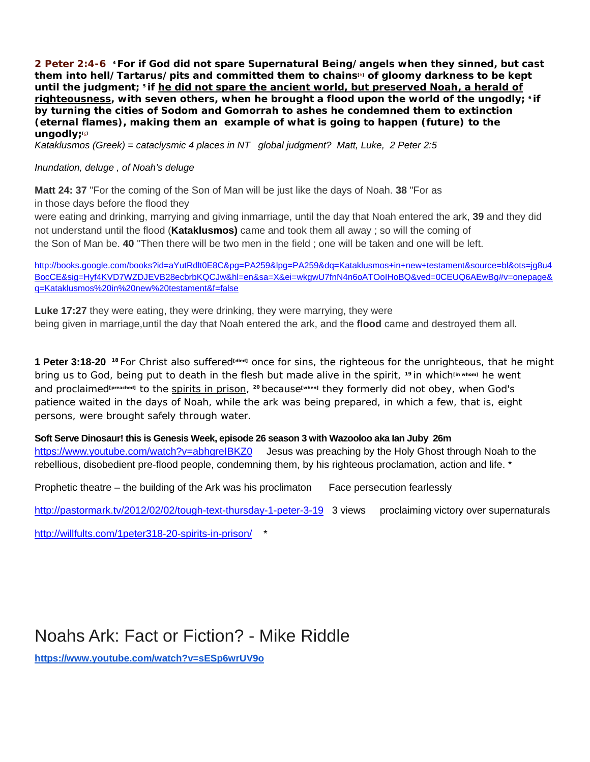**2 Peter 2:4-6 4 For if God did not spare Supernatural Being/angels when they sinned, but cast them into hell/***Tartarus/pits* **and committed them to chain[s\[b\]](http://www.biblegateway.com/passage/?search=2%20Peter+2:4-6&version=ESV#fen-ESV-30488b) of gloomy darkness to be kept until the judgment; <sup>5</sup> if he did not spare the ancient world, but preserved Noah, a herald of righteousness, with seven others, when he brought a flood upon the world of the ungodly; <sup>6</sup> if by turning the cities of Sodom and Gomorrah to ashes he condemned them to extinction (eternal flames), making them an example of what is going to happen (future) to the ungodly[;\[c\]](http://www.biblegateway.com/passage/?search=2%20Peter+2:4-6&version=ESV#fen-ESV-30490c)**

*Kataklusmos (Greek) = cataclysmic 4 places in NT global judgment? Matt, Luke, 2 Peter 2:5*

#### *Inundation, deluge , of Noah's deluge*

**Matt 24: 37** "For the coming of the Son of Man will be just like the days of Noah. **38** "For as in those days before the flood they

were eating and drinking, marrying and giving inmarriage, until the day that Noah entered the ark, **39** and they did not understand until the flood (**Kataklusmos)** came and took them all away ; so will the coming of the Son of Man be. **40** "Then there will be two men in the field ; one will be taken and one will be left.

[http://books.google.com/books?id=aYutRdlt0E8C&pg=PA259&lpg=PA259&dq=Kataklusmos+in+new+testament&source=bl&ots=jg8u4](http://books.google.com/books?id=aYutRdlt0E8C&pg=PA259&lpg=PA259&dq=Kataklusmos+in+new+testament&source=bl&ots=jg8u4BocCE&sig=Hyf4KVD7WZDJEVB28ecbrbKQCJw&hl=en&sa=X&ei=wkgwU7fnN4n6oATOoIHoBQ&ved=0CEUQ6AEwBg#v=onepage&q=Kataklusmos%20in%20new%20testament&f=false) [BocCE&sig=Hyf4KVD7WZDJEVB28ecbrbKQCJw&hl=en&sa=X&ei=wkgwU7fnN4n6oATOoIHoBQ&ved=0CEUQ6AEwBg#v=onepage&](http://books.google.com/books?id=aYutRdlt0E8C&pg=PA259&lpg=PA259&dq=Kataklusmos+in+new+testament&source=bl&ots=jg8u4BocCE&sig=Hyf4KVD7WZDJEVB28ecbrbKQCJw&hl=en&sa=X&ei=wkgwU7fnN4n6oATOoIHoBQ&ved=0CEUQ6AEwBg#v=onepage&q=Kataklusmos%20in%20new%20testament&f=false) [q=Kataklusmos%20in%20new%20testament&f=false](http://books.google.com/books?id=aYutRdlt0E8C&pg=PA259&lpg=PA259&dq=Kataklusmos+in+new+testament&source=bl&ots=jg8u4BocCE&sig=Hyf4KVD7WZDJEVB28ecbrbKQCJw&hl=en&sa=X&ei=wkgwU7fnN4n6oATOoIHoBQ&ved=0CEUQ6AEwBg#v=onepage&q=Kataklusmos%20in%20new%20testament&f=false)

**Luke 17:27** they were eating, they were drinking, they were marrying, they were being given in marriage,until the day that Noah entered the ark, and the **flood** came and destroyed them all.

**1 Peter 3:18-20 <sup>18</sup>** For Christ also suffered**[died]** once for sins, the righteous for the unrighteous, that he might bring us to God, being put to death in the flesh but made alive in the spirit, **<sup>19</sup>** in which**[in whom]** he went and proclaimed**[preached]** to the spirits in prison, **<sup>20</sup>** because**[when]** they formerly did not obey, when God's patience waited in the days of Noah, while the ark was being prepared, in which a few, that is, eight persons, were brought safely through water.

### **Soft Serve Dinosaur! this is Genesis Week, episode 26 season 3 with Wazooloo aka Ian Juby 26m**

<https://www.youtube.com/watch?v=abhgreIBKZ0>Jesus was preaching by the Holy Ghost through Noah to the rebellious, disobedient pre-flood people, condemning them, by his righteous proclamation, action and life. \*

Prophetic theatre – the building of the Ark was his proclimaton Face persecution fearlessly

<http://pastormark.tv/2012/02/02/tough-text-thursday-1-peter-3-19>3 views proclaiming victory over supernaturals

<http://willfults.com/1peter318-20-spirits-in-prison/> $*$ 

## Noahs Ark: Fact or Fiction? - Mike Riddle

**<https://www.youtube.com/watch?v=sESp6wrUV9o>**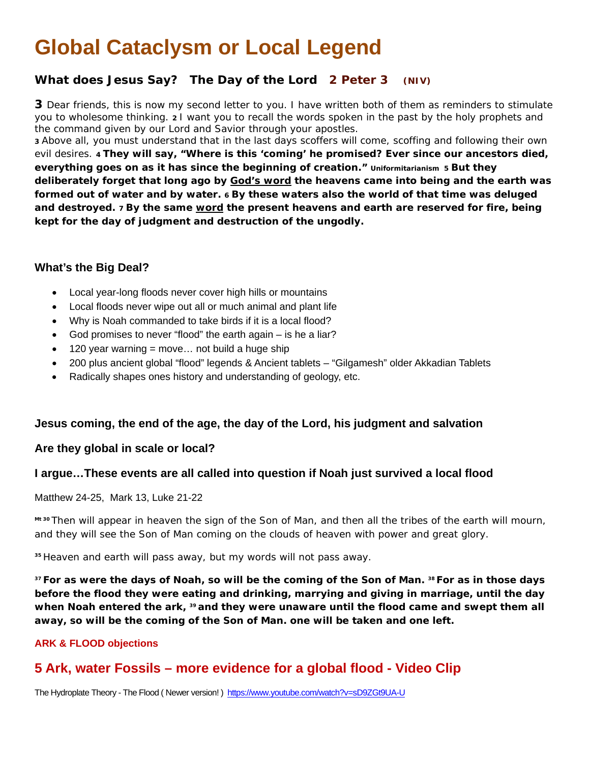## **Global Cataclysm or Local Legend**

## **What does Jesus Say? The Day of the Lord 2 Peter 3 (NIV)**

**3** Dear friends, this is now my second letter to you. I have written both of them as reminders to stimulate you to wholesome thinking. **2** I want you to recall the words spoken in the past by the holy prophets and the command given by our Lord and Savior through your apostles.

**3** Above all, you must understand that in the last days scoffers will come, scoffing and following their own evil desires. **4 They will say, "Where is this 'coming' he promised? Ever since our ancestors died, everything goes on as it has since the beginning of creation." Uniformitarianism 5 But they deliberately forget that long ago by God's word the heavens came into being and the earth was formed out of water and by water. 6 By these waters also the world of that time was deluged and destroyed. 7 By the same word the present heavens and earth are reserved for fire, being kept for the day of judgment and destruction of the ungodly.**

### **What's the Big Deal?**

- Local year-long floods never cover high hills or mountains
- Local floods never wipe out all or much animal and plant life
- Why is Noah commanded to take birds if it is a local flood?
- God promises to never "flood" the earth again is he a liar?
- 120 year warning = move... not build a huge ship
- 200 plus ancient global "flood" legends & Ancient tablets "Gilgamesh" older Akkadian Tablets
- Radically shapes ones history and understanding of geology, etc.

### **Jesus coming, the end of the age, the day of the Lord, his judgment and salvation**

### **Are they global in scale or local?**

### **I argue…These events are all called into question if Noah just survived a local flood**

### Matthew 24-25, Mark 13, Luke 21-22

**Mt 30** Then will appear in heaven the sign of the Son of Man, and then all the tribes of the earth will mourn, and they will see the Son of Man coming on the clouds of heaven with power and great glory.

**<sup>35</sup>** Heaven and earth will pass away, but my words will not pass away.

**<sup>37</sup> For as were the days of Noah, so will be the coming of the Son of Man. <sup>38</sup> For as in those days before the flood they were eating and drinking, marrying and giving in marriage, until the day when Noah entered the ark, <sup>39</sup> and they were unaware until the flood came and swept them all away, so will be the coming of the Son of Man. one will be taken and one left.**

### **ARK & FLOOD objections**

## **5 Ark, water Fossils – more evidence for a global flood - Video Clip**

The Hydroplate Theory - The Flood ( Newer version! )<https://www.youtube.com/watch?v=sD9ZGt9UA-U>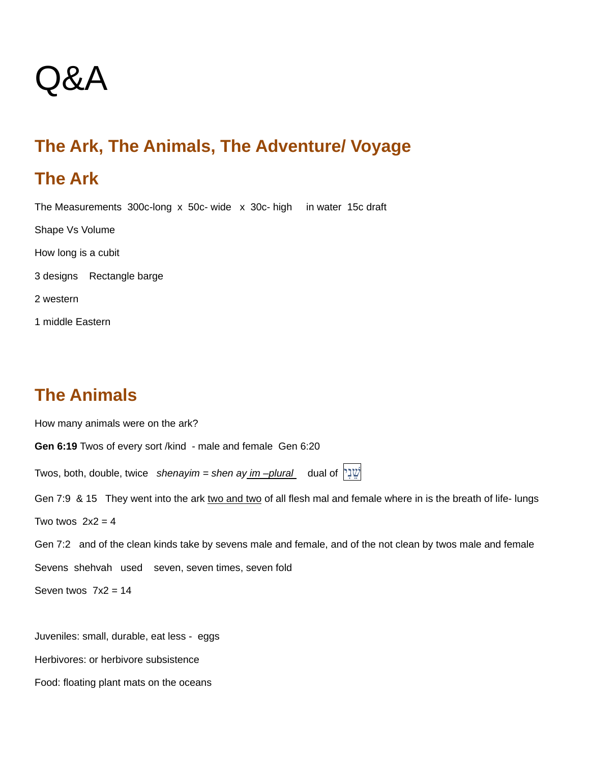# Q&A

## **The Ark, The Animals, The Adventure/ Voyage**

## **The Ark**

The Measurements 300c-long x 50c- wide x 30c- high in water 15c draft

Shape Vs Volume

How long is a cubit

3 designs Rectangle barge

2 western

1 middle Eastern

## **The Animals**

How many animals were on the ark? **Gen 6:19** Twos of every sort /kind - male and female Gen 6:20 Twos, both, double, twice *shenayim = shen ay im –plural* dual of [יִנֵשׁ](http://www.blueletterbible.org/lang/lexicon/lexicon.cfm?strongs=H8145&t=KJV) Gen 7:9 & 15 They went into the ark two and two of all flesh mal and female where in is the breath of life- lungs Two twos  $2x^2 = 4$ Gen 7:2 and of the clean kinds take by sevens male and female, and of the not clean by twos male and female Sevens shehvah used seven, seven times, seven fold Seven twos  $7x^2 = 14$ 

Juveniles: small, durable, eat less - eggs

Herbivores: or herbivore subsistence

Food: floating plant mats on the oceans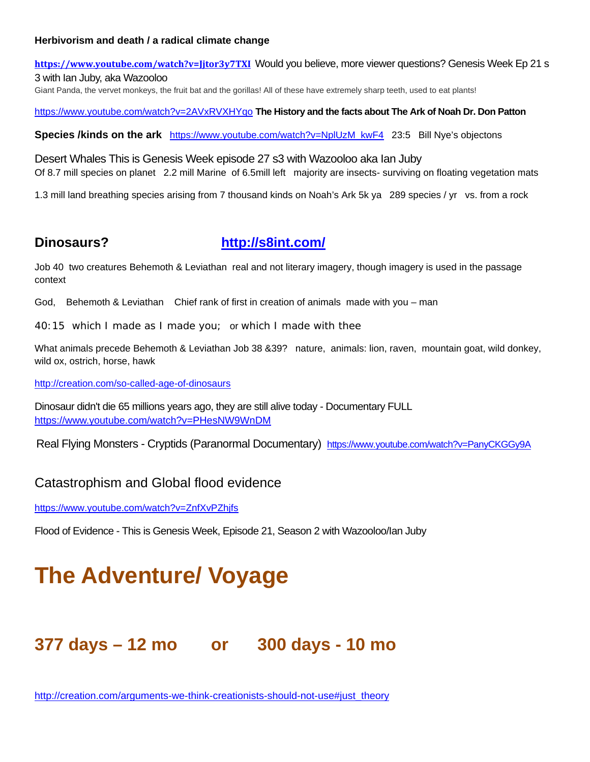#### **Herbivorism and death / a radical climate change**

**<https://www.youtube.com/watch?v=Jjtor3y7TXI>**Would you believe, more viewer questions? Genesis Week Ep 21 s 3 with Ian Juby, aka Wazooloo Giant Panda, the vervet monkeys, the fruit bat and the gorillas! All of these have extremely sharp teeth, used to eat plants!

<https://www.youtube.com/watch?v=2AVxRVXHYqo> **The History and the facts about The Ark of Noah Dr. Don Patton**

**Species /kinds on the ark** [https://www.youtube.com/watch?v=NplUzM\\_kwF4](https://www.youtube.com/watch?v=NplUzM_kwF4) 23:5 Bill Nye's objectons

Desert Whales This is Genesis Week episode 27 s3 with Wazooloo aka Ian Juby Of 8.7 mill species on planet 2.2 mill Marine of 6.5mill left majority are insects- surviving on floating vegetation mats

1.3 mill land breathing species arising from 7 thousand kinds on Noah's Ark 5k ya 289 species / yr vs. from a rock

## **Dinosaurs? <http://s8int.com/>**

Job 40 two creatures Behemoth & Leviathan real and not literary imagery, though imagery is used in the passage context

God, Behemoth & Leviathan Chief rank of first in creation of animals made with you – man

40:15 which I made as I made you; or which I made with thee

What animals precede Behemoth & Leviathan Job 38 &39? nature, animals: lion, raven, mountain goat, wild donkey, wild ox, ostrich, horse, hawk

<http://creation.com/so-called-age-of-dinosaurs>

Dinosaur didn't die 65 millions years ago, they are still alive today - Documentary FULL <https://www.youtube.com/watch?v=PHesNW9WnDM>

Real Flying Monsters - Cryptids (Paranormal Documentary) <https://www.youtube.com/watch?v=PanyCKGGy9A>

## Catastrophism and Global flood evidence

<https://www.youtube.com/watch?v=ZnfXvPZhjfs>

Flood of Evidence - This is Genesis Week, Episode 21, Season 2 with Wazooloo/Ian Juby

## **The Adventure/ Voyage**

## **377 days – 12 mo or 300 days - 10 mo**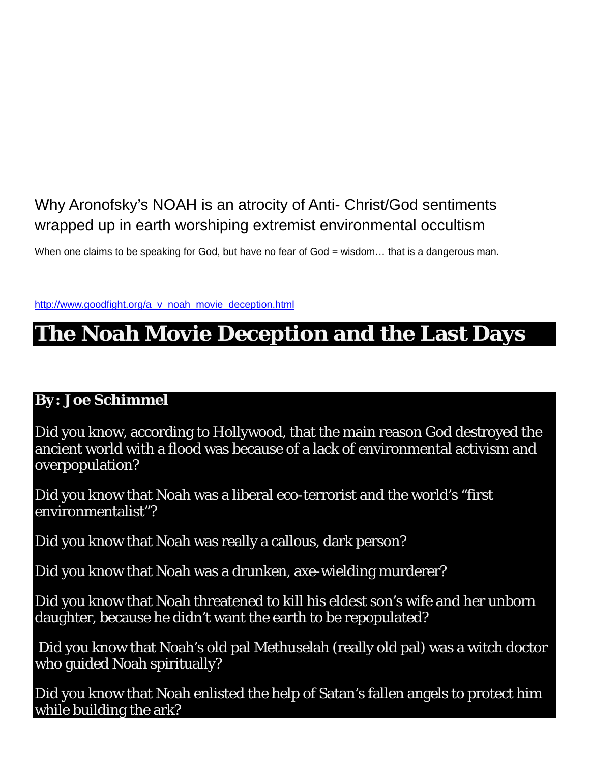## Why Aronofsky's NOAH is an atrocity of Anti- Christ/God sentiments wrapped up in earth worshiping extremist environmental occultism

When one claims to be speaking for God, but have no fear of God = wisdom... that is a dangerous man.

[http://www.goodfight.org/a\\_v\\_noah\\_movie\\_deception.html](http://www.goodfight.org/a_v_noah_movie_deception.html)

## **The Noah Movie Deception and the Last Days**

## *By: Joe Schimmel*

Did you know, according to Hollywood, that the main reason God destroyed the ancient world with a flood was because of a lack of environmental activism and overpopulation?

Did you know that Noah was a liberal eco-terrorist and the world's "first environmentalist"?

Did you know that Noah was really a callous, dark person?

Did you know that Noah was a drunken, axe-wielding murderer?

Did you know that Noah threatened to kill his eldest son's wife and her unborn daughter, because he didn't want the earth to be repopulated?

Did you know that Noah's old pal Methuselah (really old pal) was a witch doctor who guided Noah spiritually?

Did you know that Noah enlisted the help of Satan's fallen angels to protect him while building the ark?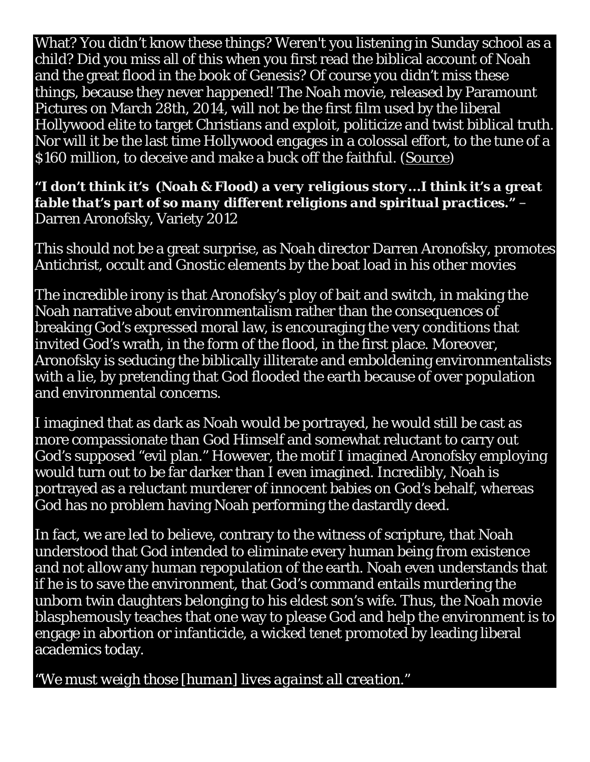What? You didn't know these things? Weren't you listening in Sunday school as a child? Did you miss all of this when you first read the biblical account of Noah and the great flood in the book of Genesis? Of course you didn't miss these things, because they never happened! The *Noah* movie, released by Paramount Pictures on March 28th, 2014, will not be the first film used by the liberal Hollywood elite to target Christians and exploit, politicize and twist biblical truth. Nor will it be the last time Hollywood engages in a colossal effort, to the tune of a \$160 million, to deceive and make a buck off the faithful. [\(Source\)](http://www.theguardian.com/film/2014/mar/11/noah-religious-montage-christian-darren-aronofsky-paramount)

*"I don't think it's (Noah & Flood) a very religious story...I think it's a great fable that's part of so many different religions and spiritual practices."* – Darren Aronofsky, Variety 2012

This should not be a great surprise, as *Noah* director Darren Aronofsky, promotes Antichrist, occult and Gnostic elements by the boat load in his other movies

The incredible irony is that Aronofsky's ploy of bait and switch, in making the Noah narrative about environmentalism rather than the consequences of breaking God's expressed moral law, is encouraging the very conditions that invited God's wrath, in the form of the flood, in the first place. Moreover, Aronofsky is seducing the biblically illiterate and emboldening environmentalists with a lie, by pretending that God flooded the earth because of over population and environmental concerns.

I imagined that as dark as Noah would be portrayed, he would still be cast as more compassionate than God Himself and somewhat reluctant to carry out God's supposed "evil plan." However, the motif I imagined Aronofsky employing would turn out to be far darker than I even imagined. Incredibly, Noah is portrayed as a reluctant murderer of innocent babies on God's behalf, whereas God has no problem having Noah performing the dastardly deed.

In fact, we are led to believe, contrary to the witness of scripture, that Noah understood that God intended to eliminate every human being from existence and not allow any human repopulation of the earth. Noah even understands that if he is to save the environment, that God's command entails murdering the unborn twin daughters belonging to his eldest son's wife. Thus, the *Noah* movie blasphemously teaches that one way to please God and help the environment is to engage in abortion or infanticide, a wicked tenet promoted by leading liberal academics today.

*"We must weigh those [human] lives against all creation."*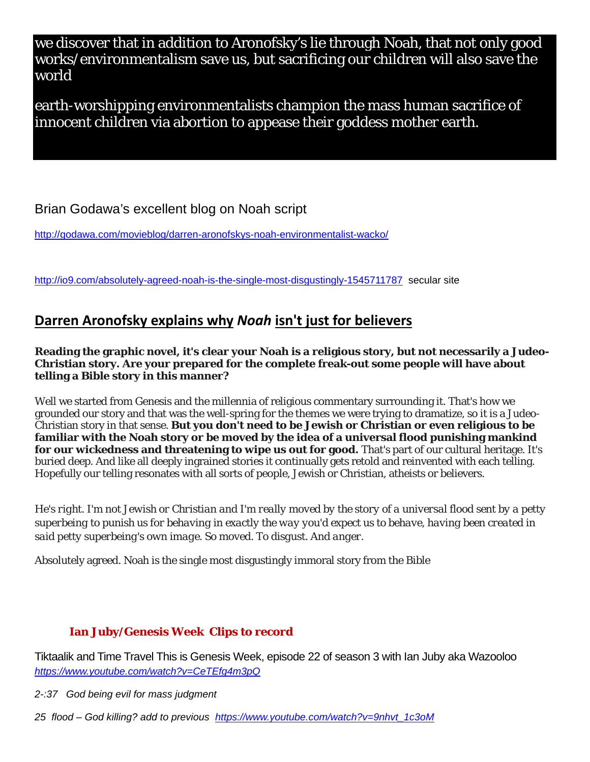we discover that in addition to Aronofsky's lie through Noah, that not only good works/environmentalism save us, but sacrificing our children will also save the world

earth-worshipping environmentalists champion the mass human sacrifice of innocent children via abortion to appease their goddess mother earth.

Brian Godawa's excellent blog on Noah script

<http://godawa.com/movieblog/darren-aronofskys-noah-environmentalist-wacko/>

<http://io9.com/absolutely-agreed-noah-is-the-single-most-disgustingly-1545711787>secular site

## **[Darren Aronofsky explains why](http://io9.com/darren-aronosky-explains-why-noah-isnt-just-for-believ-1545648721)** *Noah* **isn't just for believers**

**Reading the graphic novel, it's clear your Noah is a religious story, but not necessarily a Judeo-Christian story. Are your prepared for the complete freak-out some people will have about telling a Bible story in this manner?**

Well we started from Genesis and the millennia of religious commentary surrounding it. That's how we grounded our story and that was the well-spring for the themes we were trying to dramatize, so it is a Judeo-Christian story in that sense. **But you don't need to be Jewish or Christian or even religious to be familiar with the Noah story or be moved by the idea of a universal flood punishing mankind for our wickedness and threatening to wipe us out for good.** That's part of our cultural heritage. It's buried deep. And like all deeply ingrained stories it continually gets retold and reinvented with each telling. Hopefully our telling resonates with all sorts of people, Jewish or Christian, atheists or believers.

*He's right. I'm not Jewish or Christian and I'm really moved by the story of a universal flood sent by a petty superbeing to punish us for behaving in exactly the way you'd expect us to behave, having been created in said petty superbeing's own image. So moved. To disgust. And anger.*

Absolutely agreed. Noah is the single most disgustingly immoral story from the Bible

## **Ian Juby/Genesis Week Clips to record**

Tiktaalik and Time Travel This is Genesis Week, episode 22 of season 3 with Ian Juby aka Wazooloo *<https://www.youtube.com/watch?v=CeTEfg4m3pQ>*

*2-:37 God being evil for mass judgment*

*25 flood – God killing? add to previous [https://www.youtube.com/watch?v=9nhvt\\_1c3oM](https://www.youtube.com/watch?v=9nhvt_1c3oM)*